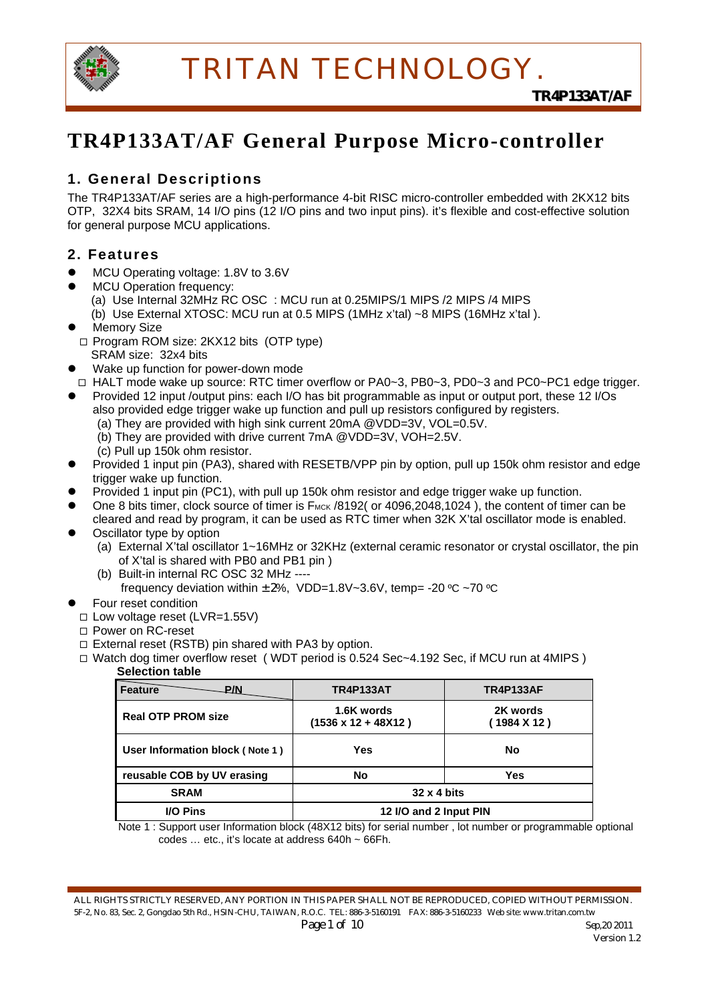

# **TR4P133AT/AF General Purpose Micro-controller**

### **1. General Descriptions**

The TR4P133AT/AF series are a high-performance 4-bit RISC micro-controller embedded with 2KX12 bits OTP, 32X4 bits SRAM, 14 I/O pins (12 I/O pins and two input pins). it's flexible and cost-effective solution for general purpose MCU applications.

### **2. Features**

- MCU Operating voltage: 1.8V to 3.6V
	- MCU Operation frequency: (a) Use Internal 32MHz RC OSC : MCU run at 0.25MIPS/1 MIPS /2 MIPS /4 MIPS (b) Use External XTOSC: MCU run at 0.5 MIPS (1MHz x'tal) ~8 MIPS (16MHz x'tal ).
	-
- **Memory Size**
- □ Program ROM size: 2KX12 bits (OTP type) SRAM size: 32x4 bits
- Wake up function for power-down mode
- □ HALT mode wake up source: RTC timer overflow or PA0~3, PB0~3, PD0~3 and PC0~PC1 edge trigger.
- Provided 12 input /output pins: each I/O has bit programmable as input or output port, these 12 I/Os also provided edge trigger wake up function and pull up resistors configured by registers. (a) They are provided with high sink current 20mA @VDD=3V, VOL=0.5V.
	- (b) They are provided with drive current 7mA @VDD=3V, VOH=2.5V.
	- (c) Pull up 150k ohm resistor.
- Provided 1 input pin (PA3), shared with RESETB/VPP pin by option, pull up 150k ohm resistor and edge trigger wake up function.
- Provided 1 input pin (PC1), with pull up 150k ohm resistor and edge trigger wake up function.
- One 8 bits timer, clock source of timer is F<sub>MCK</sub> /8192( or 4096,2048,1024), the content of timer can be cleared and read by program, it can be used as RTC timer when 32K X'tal oscillator mode is enabled.
- Oscillator type by option
	- (a) External X'tal oscillator 1~16MHz or 32KHz (external ceramic resonator or crystal oscillator, the pin of X'tal is shared with PB0 and PB1 pin )
	- (b) Built-in internal RC OSC 32 MHz ----

frequency deviation within  $\pm 2\%$ , VDD=1.8V~3.6V, temp= -20 °C ~70 °C

- Four reset condition
- Low voltage reset (LVR=1.55V)
- □ Power on RC-reset
- $\Box$  External reset (RSTB) pin shared with PA3 by option.
- $\Box$  Watch dog timer overflow reset (WDT period is 0.524 Sec $\sim$ 4.192 Sec, if MCU run at 4MIPS) **Selection table**

| <b>Feature</b><br>.P/N          | <b>TR4P133AT</b>                         | <b>TR4P133AF</b>        |  |
|---------------------------------|------------------------------------------|-------------------------|--|
| <b>Real OTP PROM size</b>       | 1.6K words<br>$(1536 \times 12 + 48X12)$ | 2K words<br>(1984 X 12) |  |
| User Information block (Note 1) | Yes                                      | No                      |  |
| reusable COB by UV erasing      | No                                       | Yes                     |  |
| <b>SRAM</b>                     | $32 \times 4$ bits                       |                         |  |
| <b>I/O Pins</b>                 | 12 I/O and 2 Input PIN                   |                         |  |

 Note 1 : Support user Information block (48X12 bits) for serial number , lot number or programmable optional codes … etc., it's locate at address 640h ~ 66Fh.

ALL RIGHTS STRICTLY RESERVED, ANY PORTION IN THIS PAPER SHALL NOT BE REPRODUCED, COPIED WITHOUT PERMISSION. 5F-2, No. 83, Sec. 2, Gongdao 5th Rd., HSIN-CHU, TAIWAN, R.O.C. TEL: 886-3-5160191 FAX: 886-3-5160233 Web site: www.tritan.com.tw *Page 1 of 10 Sep,20 2011*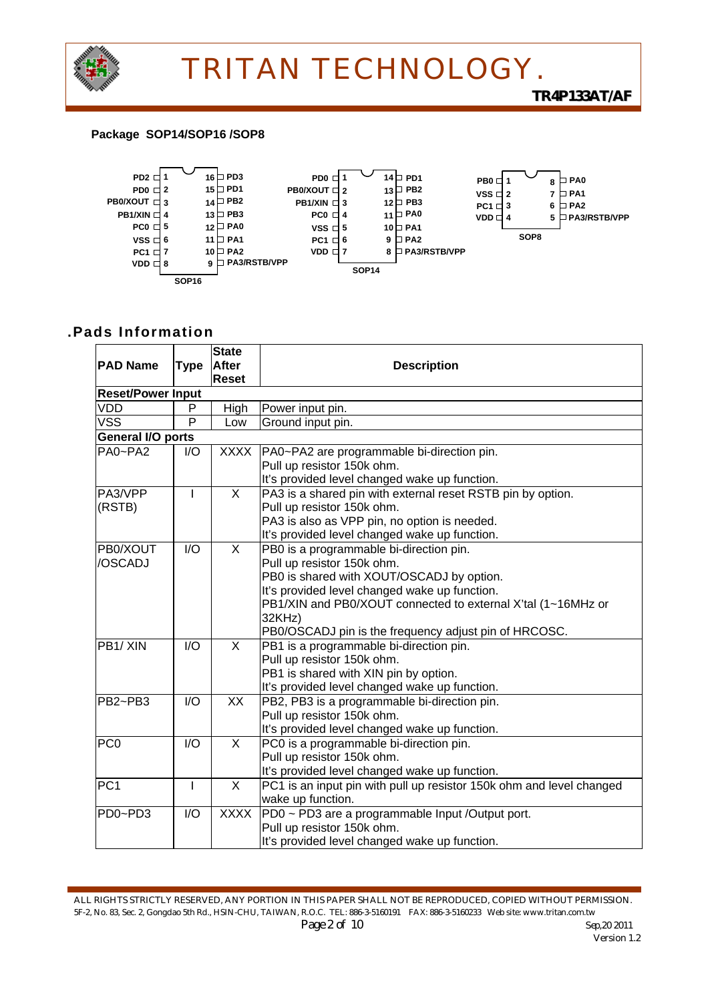

#### **Package SOP14/SOP16 /SOP8**



### **.Pads Information**

| <b>PAD Name</b>                  | <b>Type</b> | <b>State</b><br>After<br><b>Reset</b> | <b>Description</b>                                                                                                                                                                                                                                                                                     |
|----------------------------------|-------------|---------------------------------------|--------------------------------------------------------------------------------------------------------------------------------------------------------------------------------------------------------------------------------------------------------------------------------------------------------|
| <b>Reset/Power Input</b>         |             |                                       |                                                                                                                                                                                                                                                                                                        |
| VDD                              | P           | High                                  | Power input pin.                                                                                                                                                                                                                                                                                       |
| <b>VSS</b>                       | P           | Low                                   | Ground input pin.                                                                                                                                                                                                                                                                                      |
| General I/O ports                |             |                                       |                                                                                                                                                                                                                                                                                                        |
| PA0~PA2                          | I/O         | <b>XXXX</b>                           | PA0~PA2 are programmable bi-direction pin.<br>Pull up resistor 150k ohm.<br>It's provided level changed wake up function.                                                                                                                                                                              |
| PA3/VPP<br>(RSTB)                | ı           | X                                     | PA3 is a shared pin with external reset RSTB pin by option.<br>Pull up resistor 150k ohm.<br>PA3 is also as VPP pin, no option is needed.<br>It's provided level changed wake up function.                                                                                                             |
| PB0/XOUT<br>/OSCADJ              | 1/O         | $\mathsf{X}$                          | PB0 is a programmable bi-direction pin.<br>Pull up resistor 150k ohm.<br>PB0 is shared with XOUT/OSCADJ by option.<br>It's provided level changed wake up function.<br>PB1/XIN and PB0/XOUT connected to external X'tal (1~16MHz or<br>32KHz)<br>PB0/OSCADJ pin is the frequency adjust pin of HRCOSC. |
| PB1/XIN                          | 1/O         | $\mathsf{X}$                          | PB1 is a programmable bi-direction pin.<br>Pull up resistor 150k ohm.<br>PB1 is shared with XIN pin by option.<br>It's provided level changed wake up function.                                                                                                                                        |
| PB2~PB3                          | I/O         | <b>XX</b>                             | PB2, PB3 is a programmable bi-direction pin.<br>Pull up resistor 150k ohm.<br>It's provided level changed wake up function.                                                                                                                                                                            |
| PC <sub>0</sub>                  | I/O         | X                                     | PC0 is a programmable bi-direction pin.<br>Pull up resistor 150k ohm.<br>It's provided level changed wake up function.                                                                                                                                                                                 |
| PC <sub>1</sub>                  | I           | $\overline{X}$                        | PC1 is an input pin with pull up resistor 150k ohm and level changed<br>wake up function.                                                                                                                                                                                                              |
| PD <sub>0</sub> -PD <sub>3</sub> | I/O         | <b>XXXX</b>                           | PD0 ~ PD3 are a programmable Input /Output port.<br>Pull up resistor 150k ohm.<br>It's provided level changed wake up function.                                                                                                                                                                        |

ALL RIGHTS STRICTLY RESERVED, ANY PORTION IN THIS PAPER SHALL NOT BE REPRODUCED, COPIED WITHOUT PERMISSION. 5F-2, No. 83, Sec. 2, Gongdao 5th Rd., HSIN-CHU, TAIWAN, R.O.C. TEL: 886-3-5160191 FAX: 886-3-5160233 Web site: www.tritan.com.tw *Page 2 of 10 Sep,20 2011*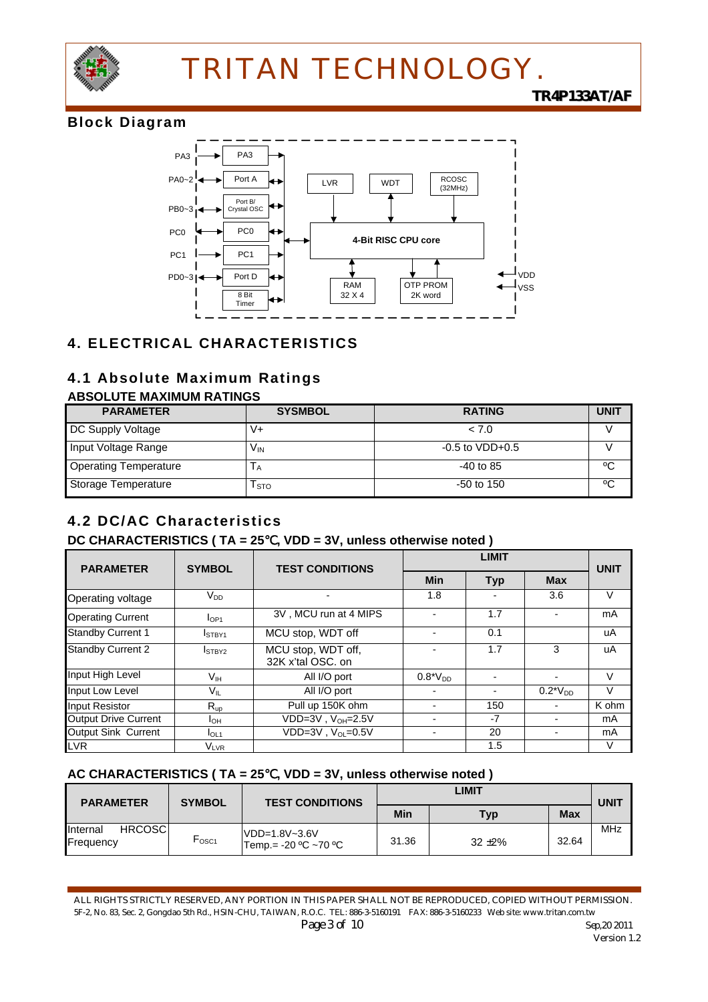

### *TR4P133AT/AF*

### **Block Diagram**



### **4. ELECTRICAL CHARACTERISTICS**

### **4.1 Absolute Maximum Ratings**

#### **ABSOLUTE MAXIMUM RATINGS**

| <b>PARAMETER</b>             | <b>SYSMBOL</b> | <b>RATING</b>       | <b>UNIT</b> |
|------------------------------|----------------|---------------------|-------------|
| DC Supply Voltage            | V+             | < 7.0               |             |
| Input Voltage Range          | Vın            | $-0.5$ to $VDD+0.5$ |             |
| <b>Operating Temperature</b> | IА             | $-40$ to 85         | °C          |
| Storage Temperature          | l sto          | $-50$ to 150        | °€          |

## **4.2 DC/AC Characteristics**

### **DC CHARACTERISTICS ( TA = 25**℃**, VDD = 3V, unless otherwise noted )**

| <b>PARAMETER</b>            | <b>SYMBOL</b><br><b>TEST CONDITIONS</b> |                                         |                | <b>UNIT</b> |               |        |
|-----------------------------|-----------------------------------------|-----------------------------------------|----------------|-------------|---------------|--------|
|                             |                                         |                                         | <b>Min</b>     | <b>Typ</b>  | <b>Max</b>    |        |
| Operating voltage           | V <sub>DD</sub>                         |                                         | 1.8            |             | 3.6           | V      |
| <b>Operating Current</b>    | I <sub>OP1</sub>                        | 3V, MCU run at 4 MIPS                   |                | 1.7         |               | mA     |
| <b>Standby Current 1</b>    | ISTBY1                                  | MCU stop, WDT off                       | $\blacksquare$ | 0.1         |               | uA     |
| <b>Standby Current 2</b>    | ISTBY2                                  | MCU stop, WDT off,<br>32K x'tal OSC, on |                | 1.7         | 3             | uA     |
| Input High Level            | V <sub>IH</sub>                         | All I/O port                            | $0.8^*V_{DD}$  |             |               | V      |
| Input Low Level             | V <sub>IL</sub>                         | All I/O port                            |                |             | $0.2^*V_{DD}$ | $\vee$ |
| <b>Input Resistor</b>       | $R_{up}$                                | Pull up 150K ohm                        |                | 150         |               | K ohm  |
| <b>Output Drive Current</b> | Iон                                     | $VDD=3V$ , $V_{OH}=2.5V$                |                | -7          |               | mA     |
| Output Sink Current         | I <sub>OL1</sub>                        | $VDD=3V$ , $V_{\Omega} = 0.5V$          |                | 20          |               | mA     |
| <b>LVR</b>                  | $\mathsf{V}_{\mathsf{LVR}}$             |                                         |                | 1.5         |               | V      |

#### **AC CHARACTERISTICS ( TA = 25**℃**, VDD = 3V, unless otherwise noted )**

| <b>PARAMETER</b>                       | <b>SYMBOL</b><br><b>TEST CONDITIONS</b> | LIMIT                                    |       |            | UNIT       |            |
|----------------------------------------|-----------------------------------------|------------------------------------------|-------|------------|------------|------------|
|                                        |                                         |                                          | Min   | Typ        | <b>Max</b> |            |
| <b>HRCOSC</b><br>Internal<br>Frequency | $r_{\rm{OSC1}}$                         | VDD=1.8V~3.6V<br>$Temp. = -20 °C$ ~70 °C | 31.36 | $32 + 2\%$ | 32.64      | <b>MHz</b> |

ALL RIGHTS STRICTLY RESERVED, ANY PORTION IN THIS PAPER SHALL NOT BE REPRODUCED, COPIED WITHOUT PERMISSION. 5F-2, No. 83, Sec. 2, Gongdao 5th Rd., HSIN-CHU, TAIWAN, R.O.C. TEL: 886-3-5160191 FAX: 886-3-5160233 Web site: www.tritan.com.tw *Page 3 of 10* Sep,20 2011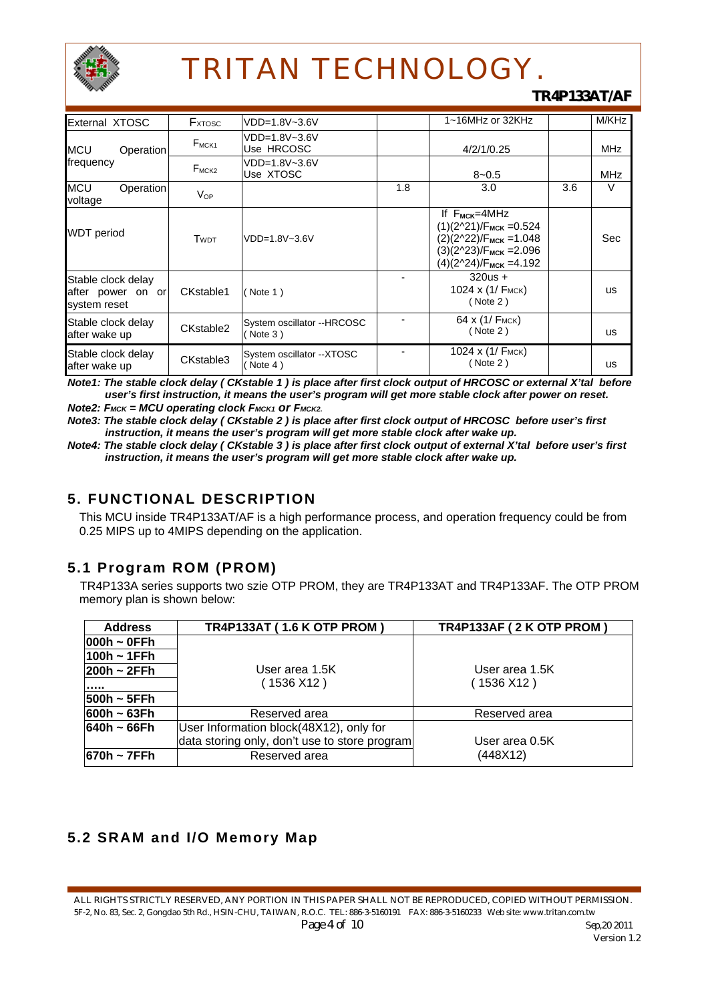

### *TR4P133AT/AF*

| External XTOSC                                          | <b>F</b> <sub>x</sub> TOSC | VDD=1.8V~3.6V                          |     | 1~16MHz or 32KHz                                                                                                                                   |     | M/KHz      |
|---------------------------------------------------------|----------------------------|----------------------------------------|-----|----------------------------------------------------------------------------------------------------------------------------------------------------|-----|------------|
| <b>MCU</b><br>Operation                                 | $F_{MCK1}$                 | VDD=1.8V~3.6V<br>Use HRCOSC            |     | 4/2/1/0.25                                                                                                                                         |     | <b>MHz</b> |
| frequency                                               | $F_{MCK2}$                 | VDD=1.8V~3.6V<br>Use XTOSC             |     | $8 - 0.5$                                                                                                                                          |     | <b>MHz</b> |
| <b>MCU</b><br>Operation<br>voltage                      | $V_{OP}$                   |                                        | 1.8 | 3.0                                                                                                                                                | 3.6 | V          |
| <b>WDT</b> period                                       | <b>TWDT</b>                | VDD=1.8V~3.6V                          |     | If $F_{MCK}=4MHz$<br>$(1)(2^221)/F_{MCK} = 0.524$<br>$(2)(2^22)/F_{MCK} = 1.048$<br>$(3)(2^223)/F_{MCK} = 2.096$<br>$(4)(2^{2}24)/F_{MCK} = 4.192$ |     | Sec        |
| Stable clock delay<br>after power on or<br>system reset | CKstable1                  | ( Note 1)                              |     | $320us +$<br>1024 x $(1/$ F <sub>MCK</sub> $)$<br>( Note 2)                                                                                        |     | <b>us</b>  |
| Stable clock delay<br>after wake up                     | CKstable2                  | System oscillator --HRCOSC<br>(Note 3) |     | 64 х (1/ Fмск)<br>( Note 2)                                                                                                                        |     | <b>us</b>  |
| Stable clock delay<br>after wake up                     | CKstable3                  | System oscillator -- XTOSC<br>Note 4)  |     | 1024 х (1/ Емск)<br>( Note 2)                                                                                                                      |     | us         |

*Note1: The stable clock delay ( CKstable 1 ) is place after first clock output of HRCOSC or external X'tal before user's first instruction, it means the user's program will get more stable clock after power on reset. Note2: FMCK = MCU operating clock FMCK1 or FMCK2.*

*Note3: The stable clock delay ( CKstable 2 ) is place after first clock output of HRCOSC before user's first*  instruction, it means the user's program will get more stable clock after wake up.

*Note4: The stable clock delay ( CKstable 3 ) is place after first clock output of external X'tal before user's first instruction, it means the user's program will get more stable clock after wake up.*

### **5. FUNCTIONAL DESCRIPTION**

This MCU inside TR4P133AT/AF is a high performance process, and operation frequency could be from 0.25 MIPS up to 4MIPS depending on the application.

### **5.1 Program ROM (PROM)**

 TR4P133A series supports two szie OTP PROM, they are TR4P133AT and TR4P133AF. The OTP PROM memory plan is shown below:

| <b>Address</b>  | <b>TR4P133AT (1.6 K OTP PROM)</b>             | TR4P133AF (2 K OTP PROM) |
|-----------------|-----------------------------------------------|--------------------------|
| $ 000h - 0$ FFh |                                               |                          |
| $100h - 1FFh$   |                                               |                          |
| $ 200h - 2FFh $ | User area 1.5K                                | User area 1.5K           |
| .               | (1536 X12 )                                   | (1536 X12)               |
| $500h - 5FFh$   |                                               |                          |
| $600h - 63Fh$   | Reserved area                                 | Reserved area            |
| $640h - 66Fh$   | User Information block(48X12), only for       |                          |
|                 | data storing only, don't use to store program | User area 0.5K           |
| $670h - 7FFh$   | Reserved area                                 | (448X12)                 |

### **5.2 SRAM and I/O Memory Map**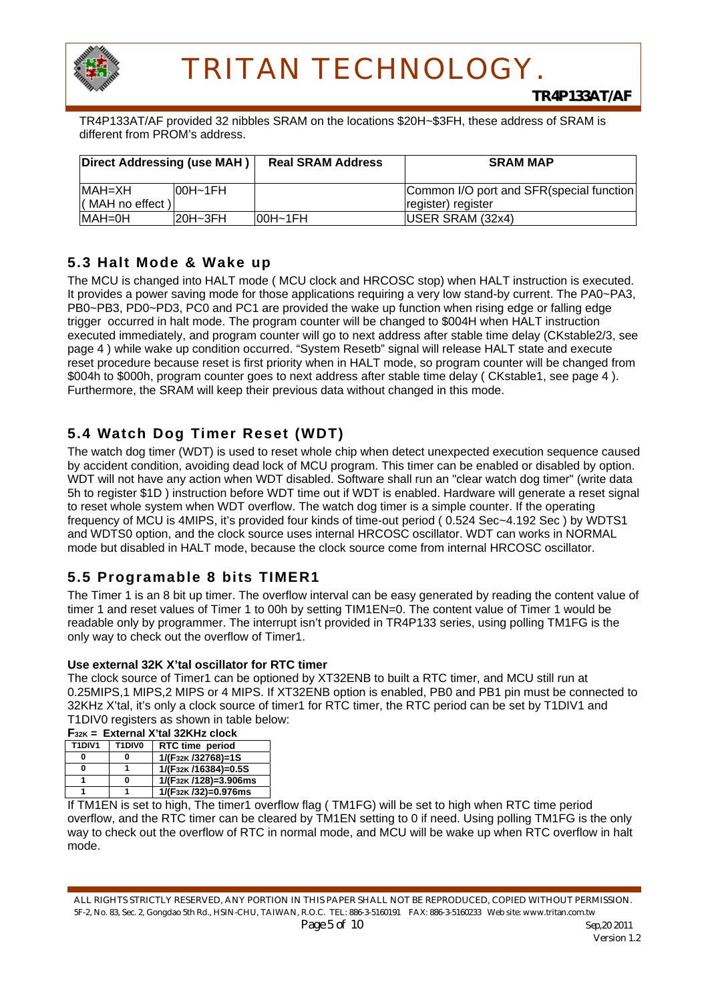

TR4P133AT/AF provided 32 nibbles SRAM on the locations \$20H~\$3FH, these address of SRAM is different from PROM's address.

| Direct Addressing (use MAH) |             | <b>Real SRAM Address</b> | <b>SRAM MAP</b>                           |
|-----------------------------|-------------|--------------------------|-------------------------------------------|
| IMAH=XH                     | IOOH~1FH    |                          | Common I/O port and SFR(special function) |
| l( MAH no effect )          |             |                          | register) register                        |
| $MAH = OH$                  | $20H - 3FH$ | IOOH~1FH                 | <b>IUSER SRAM (32x4)</b>                  |

### **5.3 Halt Mode & Wake up**

The MCU is changed into HALT mode ( MCU clock and HRCOSC stop) when HALT instruction is executed. It provides a power saving mode for those applications requiring a very low stand-by current. The PA0~PA3, PB0~PB3, PD0~PD3, PC0 and PC1 are provided the wake up function when rising edge or falling edge trigger occurred in halt mode. The program counter will be changed to \$004H when HALT instruction executed immediately, and program counter will go to next address after stable time delay (CKstable2/3, see page 4 ) while wake up condition occurred. "System Resetb" signal will release HALT state and execute reset procedure because reset is first priority when in HALT mode, so program counter will be changed from \$004h to \$000h, program counter goes to next address after stable time delay ( CKstable1, see page 4 ). Furthermore, the SRAM will keep their previous data without changed in this mode.

### **5.4 Watch Dog Timer Reset (WDT)**

The watch dog timer (WDT) is used to reset whole chip when detect unexpected execution sequence caused by accident condition, avoiding dead lock of MCU program. This timer can be enabled or disabled by option. WDT will not have any action when WDT disabled. Software shall run an "clear watch dog timer" (write data 5h to register \$1D ) instruction before WDT time out if WDT is enabled. Hardware will generate a reset signal to reset whole system when WDT overflow. The watch dog timer is a simple counter. If the operating frequency of MCU is 4MIPS, it's provided four kinds of time-out period ( 0.524 Sec~4.192 Sec ) by WDTS1 and WDTS0 option, and the clock source uses internal HRCOSC oscillator. WDT can works in NORMAL mode but disabled in HALT mode, because the clock source come from internal HRCOSC oscillator.

### **5.5 Programable 8 bits TIMER1**

The Timer 1 is an 8 bit up timer. The overflow interval can be easy generated by reading the content value of timer 1 and reset values of Timer 1 to 00h by setting TIM1EN=0. The content value of Timer 1 would be readable only by programmer. The interrupt isn't provided in TR4P133 series, using polling TM1FG is the only way to check out the overflow of Timer1.

#### **Use external 32K X'tal oscillator for RTC timer**

The clock source of Timer1 can be optioned by XT32ENB to built a RTC timer, and MCU still run at 0.25MIPS,1 MIPS,2 MIPS or 4 MIPS. If XT32ENB option is enabled, PB0 and PB1 pin must be connected to 32KHz X'tal, it's only a clock source of timer1 for RTC timer, the RTC period can be set by T1DIV1 and T1DIV0 registers as shown in table below:

| $F32K$ = External X'tal 32KHz clock |        |                                   |  |  |
|-------------------------------------|--------|-----------------------------------|--|--|
| T1DIV1                              | T1DIV0 | RTC time period                   |  |  |
| 0                                   | 0      | 1/(F <sub>32K</sub> /32768)=1S    |  |  |
| 0                                   |        | 1/(F <sub>32K</sub> /16384)=0.5S  |  |  |
|                                     | 0      | 1/(F <sub>32K</sub> /128)=3.906ms |  |  |
|                                     |        | 1/(F32K /32)=0.976ms              |  |  |

If TM1EN is set to high, The timer1 overflow flag ( TM1FG) will be set to high when RTC time period overflow, and the RTC timer can be cleared by TM1EN setting to 0 if need. Using polling TM1FG is the only way to check out the overflow of RTC in normal mode, and MCU will be wake up when RTC overflow in halt mode.

ALL RIGHTS STRICTLY RESERVED, ANY PORTION IN THIS PAPER SHALL NOT BE REPRODUCED, COPIED WITHOUT PERMISSION. 5F-2, No. 83, Sec. 2, Gongdao 5th Rd., HSIN-CHU, TAIWAN, R.O.C. TEL: 886-3-5160191 FAX: 886-3-5160233 Web site: www.tritan.com.tw *Page 5 of 10 Sep,20 2011*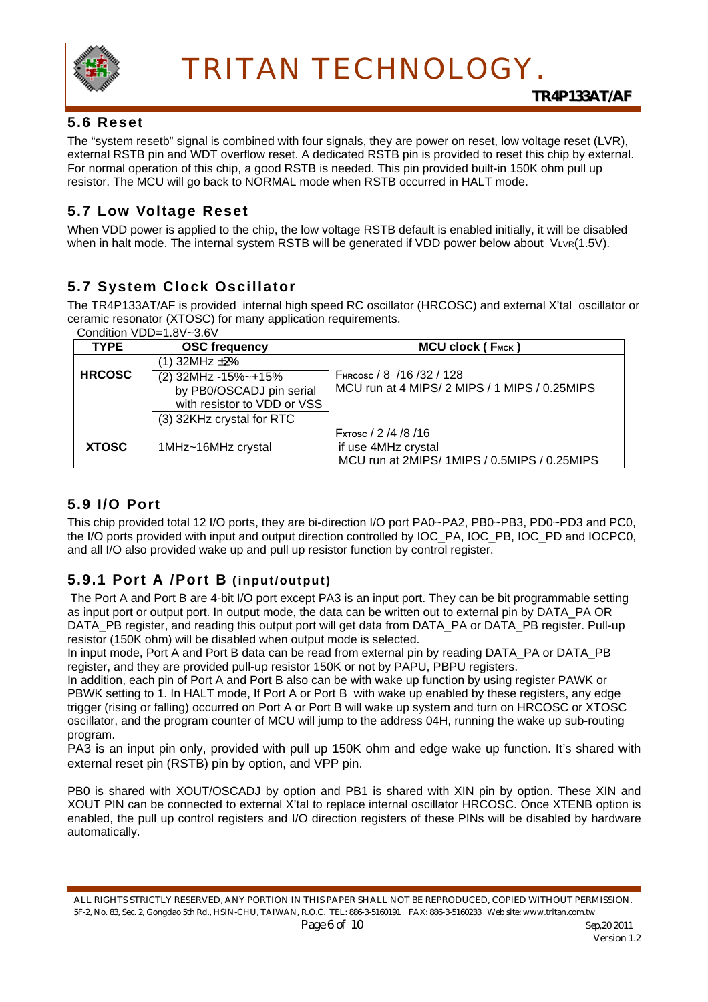

### **5.6 Reset**

The "system resetb" signal is combined with four signals, they are power on reset, low voltage reset (LVR), external RSTB pin and WDT overflow reset. A dedicated RSTB pin is provided to reset this chip by external. For normal operation of this chip, a good RSTB is needed. This pin provided built-in 150K ohm pull up resistor. The MCU will go back to NORMAL mode when RSTB occurred in HALT mode.

### **5.7 Low Voltage Reset**

When VDD power is applied to the chip, the low voltage RSTB default is enabled initially, it will be disabled when in halt mode. The internal system RSTB will be generated if VDD power below about VLVR(1.5V).

### **5.7 System Clock Oscillator**

The TR4P133AT/AF is provided internal high speed RC oscillator (HRCOSC) and external X'tal oscillator or ceramic resonator (XTOSC) for many application requirements.

Condition VDD=1.8V~3.6V

| <b>TYPE</b>                                                                                     | <b>OSC frequency</b>      | MCU clock (FMCK)                                                                           |
|-------------------------------------------------------------------------------------------------|---------------------------|--------------------------------------------------------------------------------------------|
|                                                                                                 | $(1)$ 32MHz $\pm$ 2%      |                                                                                            |
| <b>HRCOSC</b><br>(2) 32MHz -15%~+15%<br>by PB0/OSCADJ pin serial<br>with resistor to VDD or VSS |                           | FHRCOSC / 8 / 16 / 32 / 128<br>MCU run at 4 MIPS/2 MIPS / 1 MIPS / 0.25MIPS                |
|                                                                                                 | (3) 32KHz crystal for RTC |                                                                                            |
| <b>XTOSC</b>                                                                                    | 1MHz~16MHz crystal        | Fxтosc / 2 /4 /8 /16<br>if use 4MHz crystal<br>MCU run at 2MIPS/1MIPS / 0.5MIPS / 0.25MIPS |

### **5.9 I/O Port**

This chip provided total 12 I/O ports, they are bi-direction I/O port PA0~PA2, PB0~PB3, PD0~PD3 and PC0, the I/O ports provided with input and output direction controlled by IOC\_PA, IOC\_PB, IOC\_PD and IOCPC0, and all I/O also provided wake up and pull up resistor function by control register.

### **5.9.1 Port A /Port B (input/output)**

The Port A and Port B are 4-bit I/O port except PA3 is an input port. They can be bit programmable setting as input port or output port. In output mode, the data can be written out to external pin by DATA\_PA OR DATA\_PB register, and reading this output port will get data from DATA\_PA or DATA\_PB register. Pull-up resistor (150K ohm) will be disabled when output mode is selected.

In input mode, Port A and Port B data can be read from external pin by reading DATA\_PA or DATA\_PB register, and they are provided pull-up resistor 150K or not by PAPU, PBPU registers.

In addition, each pin of Port A and Port B also can be with wake up function by using register PAWK or PBWK setting to 1. In HALT mode, If Port A or Port B with wake up enabled by these registers, any edge trigger (rising or falling) occurred on Port A or Port B will wake up system and turn on HRCOSC or XTOSC oscillator, and the program counter of MCU will jump to the address 04H, running the wake up sub-routing program.

PA3 is an input pin only, provided with pull up 150K ohm and edge wake up function. It's shared with external reset pin (RSTB) pin by option, and VPP pin.

PB0 is shared with XOUT/OSCADJ by option and PB1 is shared with XIN pin by option. These XIN and XOUT PIN can be connected to external X'tal to replace internal oscillator HRCOSC. Once XTENB option is enabled, the pull up control registers and I/O direction registers of these PINs will be disabled by hardware automatically.

ALL RIGHTS STRICTLY RESERVED, ANY PORTION IN THIS PAPER SHALL NOT BE REPRODUCED, COPIED WITHOUT PERMISSION. 5F-2, No. 83, Sec. 2, Gongdao 5th Rd., HSIN-CHU, TAIWAN, R.O.C. TEL: 886-3-5160191 FAX: 886-3-5160233 Web site: www.tritan.com.tw *Page 6 of 10 Sep,20 2011*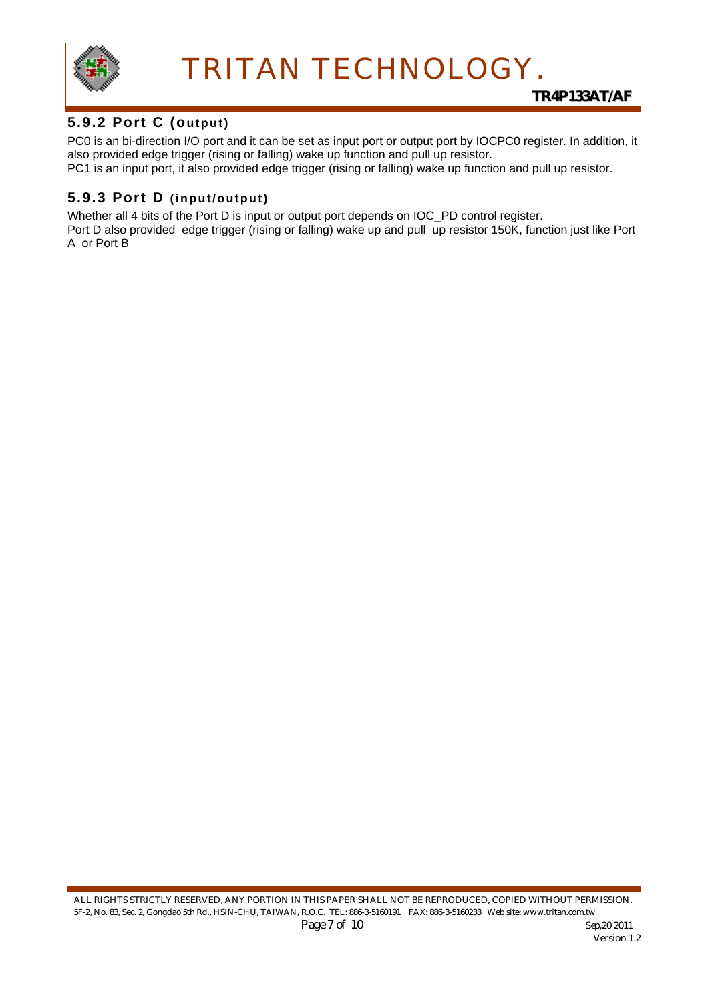

### **5.9.2 Port C (output)**

PC0 is an bi-direction I/O port and it can be set as input port or output port by IOCPC0 register. In addition, it also provided edge trigger (rising or falling) wake up function and pull up resistor. PC1 is an input port, it also provided edge trigger (rising or falling) wake up function and pull up resistor.

### **5.9.3 Port D (input/output)**

Whether all 4 bits of the Port D is input or output port depends on IOC\_PD control register.

Port D also provided edge trigger (rising or falling) wake up and pull up resistor 150K, function just like Port A or Port B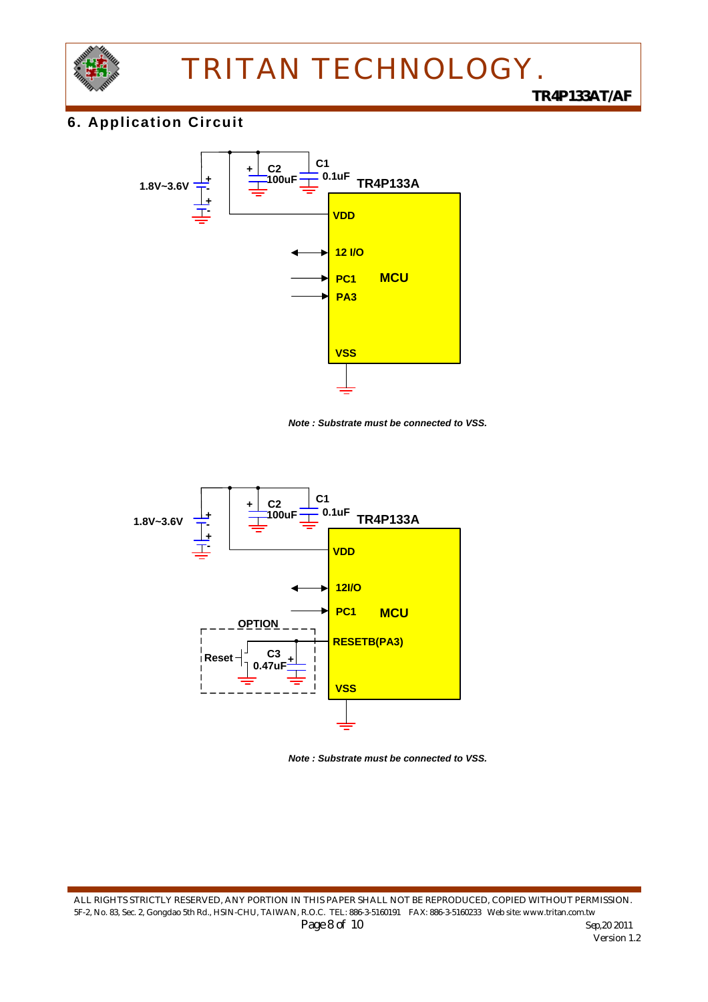

### **6. Application Circuit**



*Note : Substrate must be connected to VSS.*



*Note : Substrate must be connected to VSS.*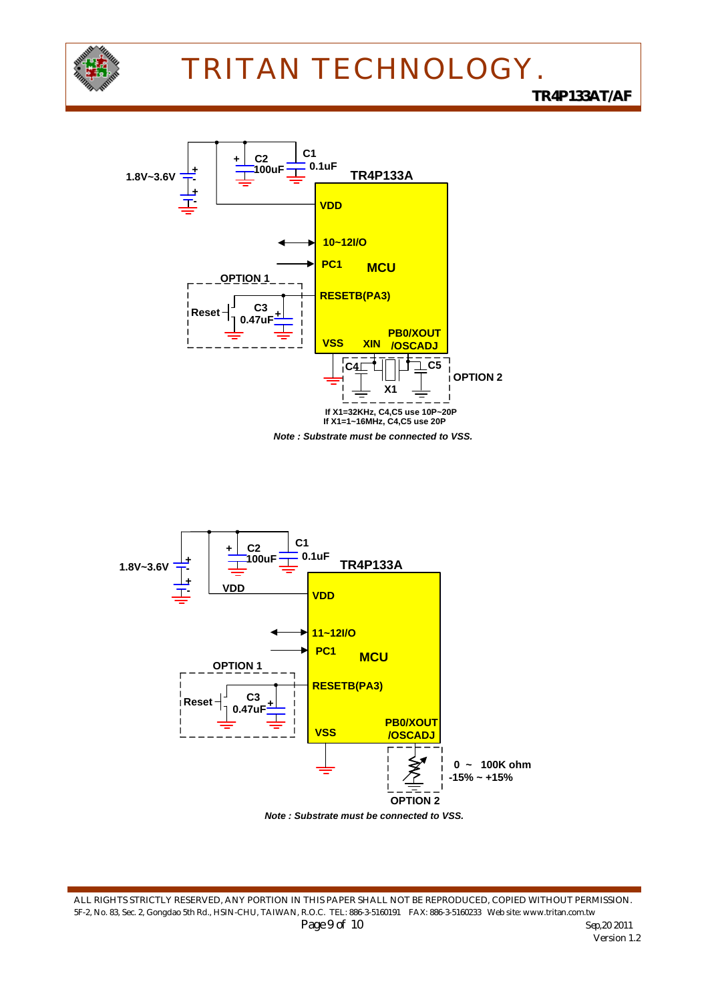





ALL RIGHTS STRICTLY RESERVED, ANY PORTION IN THIS PAPER SHALL NOT BE REPRODUCED, COPIED WITHOUT PERMISSION. 5F-2, No. 83, Sec. 2, Gongdao 5th Rd., HSIN-CHU, TAIWAN, R.O.C. TEL: 886-3-5160191 FAX: 886-3-5160233 Web site: www.tritan.com.tw *Page 9 of 10* Sep,20 2011